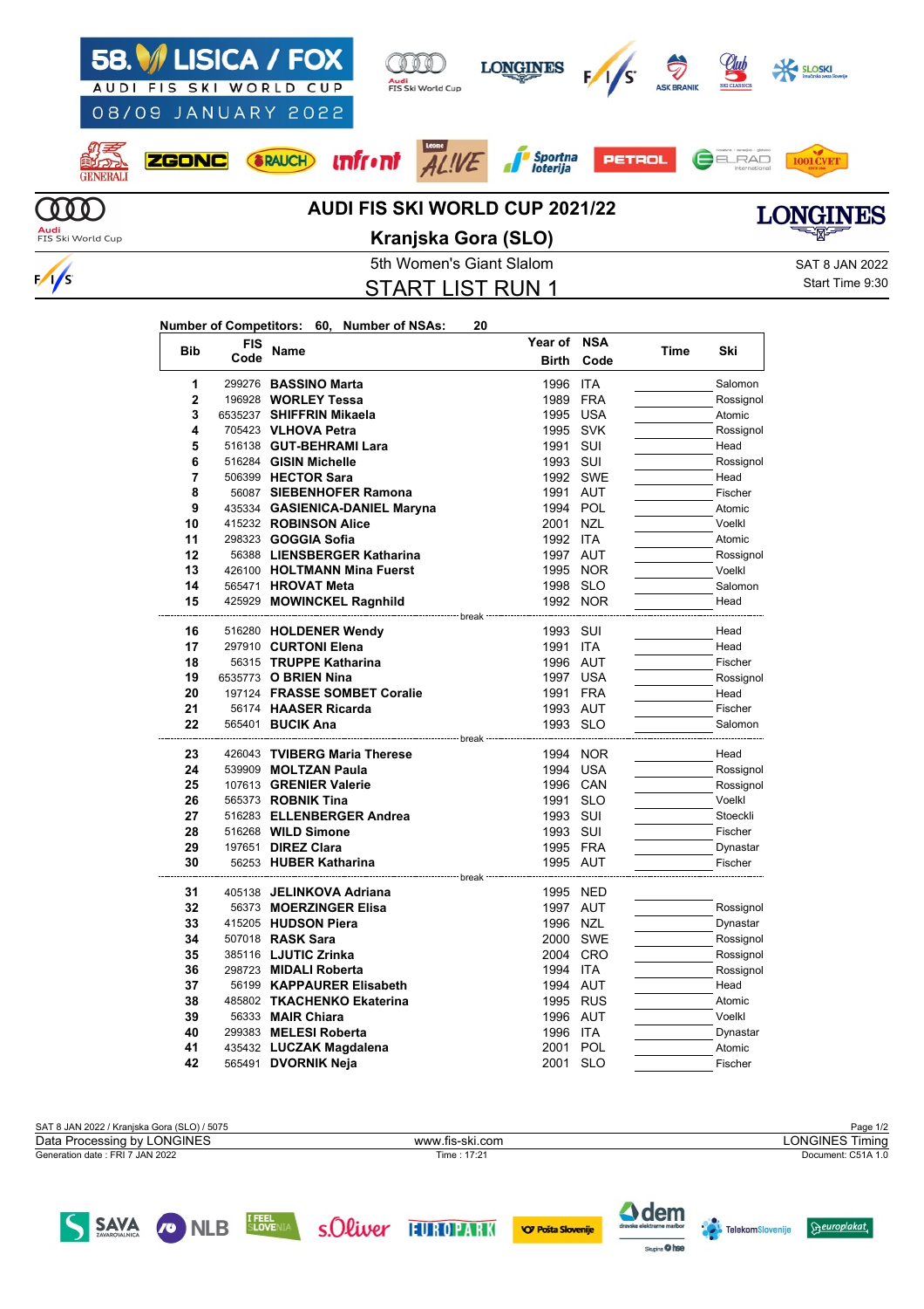

5th Women's Giant Slalom Satisfactured SAT 8 JAN 2022 START LIST RUN 1

Start Time 9:30

## **Number of Competitors: 60, Number of NSAs: 20**

 $\frac{1}{s}$ 

| <b>Bib</b>     | <b>FIS</b> | Name                                               | Year of                                  | <b>NSA</b> | Time | Ski       |
|----------------|------------|----------------------------------------------------|------------------------------------------|------------|------|-----------|
|                | Code       |                                                    | <b>Birth</b>                             | Code       |      |           |
| 1              |            | 299276 BASSINO Marta                               | 1996                                     | <b>ITA</b> |      | Salomon   |
| $\overline{2}$ |            | 196928 WORLEY Tessa                                | 1989 FRA                                 |            |      | Rossignol |
| 3              |            | 6535237 SHIFFRIN Mikaela                           | 1995 USA                                 |            |      | Atomic    |
| 4              |            | 705423 VLHOVA Petra                                | 1995 SVK                                 |            |      | Rossignol |
| 5              |            | 516138 GUT-BEHRAMI Lara                            | 1991 SUI                                 |            |      | Head      |
| 6              |            | 516284 GISIN Michelle                              | 1993 SUI                                 |            |      | Rossignol |
| 7              |            | 506399 HECTOR Sara                                 |                                          | 1992 SWE   |      | Head      |
| 8              |            | 56087 SIEBENHOFER Ramona                           | 1991 AUT                                 |            |      | Fischer   |
| 9              |            | 435334 GASIENICA-DANIEL Maryna                     | 1994 POL                                 |            |      | Atomic    |
| 10             |            | 415232 ROBINSON Alice                              | 2001 NZL                                 |            |      | Voelkl    |
| 11             |            | 298323 GOGGIA Sofia                                | 1992 ITA                                 |            |      | Atomic    |
| 12             |            | 56388 LIENSBERGER Katharina                        | 1997 AUT                                 |            |      | Rossignol |
| 13             |            | 426100 HOLTMANN Mina Fuerst                        |                                          | 1995 NOR   |      | Voelkl    |
| 14             |            | 565471 HROVAT Meta                                 | 1998 SLO                                 |            |      | Salomon   |
| 15             |            | 425929 MOWINCKEL Ragnhild<br>------------- break - |                                          | 1992 NOR   |      | Head      |
| 16             |            | 516280 HOLDENER Wendy                              | 1993 SUI                                 |            |      | Head      |
| 17             |            | 297910 CURTONI Elena                               | 1991 ITA                                 |            |      | Head      |
| 18             |            | 56315 TRUPPE Katharina                             | 1996 AUT                                 |            |      | Fischer   |
| 19             |            | 6535773 O BRIEN Nina                               | 1997 USA                                 |            |      | Rossignol |
| 20             |            | 197124 FRASSE SOMBET Coralie                       | 1991 FRA                                 |            |      | Head      |
| 21             |            | 56174 HAASER Ricarda                               | 1993 AUT                                 |            |      | Fischer   |
| 22             |            | 565401 <b>BUCIK Ana</b>                            | 1993 SLO                                 |            |      | Salomon   |
| 23             |            | 426043 TVIBERG Maria Therese                       | ----------------- break ---------------- | 1994 NOR   |      | Head      |
| 24             |            | 539909 MOLTZAN Paula                               | 1994 USA                                 |            |      | Rossignol |
| 25             |            | 107613 GRENIER Valerie                             | 1996 CAN                                 |            |      | Rossignol |
| 26             |            | 565373 ROBNIK Tina                                 | 1991 SLO                                 |            |      | Voelkl    |
| 27             |            | 516283 ELLENBERGER Andrea                          | 1993 SUI                                 |            |      | Stoeckli  |
| 28             |            | 516268 WILD Simone                                 | 1993 SUI                                 |            |      | Fischer   |
| 29             |            | 197651 <b>DIREZ Clara</b>                          | 1995 FRA                                 |            |      | Dynastar  |
| 30             |            | 56253 HUBER Katharina                              | 1995 AUT                                 |            |      | Fischer   |
|                |            |                                                    | ------ break                             |            |      |           |
| 31             |            | 405138 JELINKOVA Adriana                           | 1995 NED                                 |            |      |           |
| 32             |            | 56373 MOERZINGER Elisa                             | 1997 AUT                                 |            |      | Rossignol |
| 33             |            | 415205 HUDSON Piera                                | 1996 NZL                                 |            |      | Dynastar  |
| 34             |            | 507018 RASK Sara                                   |                                          | 2000 SWE   |      | Rossignol |
| 35             |            | 385116 <b>LJUTIC Zrinka</b>                        |                                          | 2004 CRO   |      | Rossignol |
| 36             |            | 298723 MIDALI Roberta                              | 1994 ITA                                 |            |      | Rossignol |
| 37             |            | 56199 KAPPAURER Elisabeth                          | 1994 AUT                                 |            |      | Head      |
| 38             |            | 485802 TKACHENKO Ekaterina                         | 1995 RUS                                 |            |      | Atomic    |
| 39             |            | 56333 <b>MAIR Chiara</b>                           | 1996 AUT                                 |            |      | Voelkl    |
| 40             |            | 299383 MELESI Roberta                              | 1996                                     | ITA        |      | Dynastar  |
| 41             |            | 435432 LUCZAK Magdalena                            | 2001                                     | POL        |      | Atomic    |
| 42             |            | 565491 DVORNIK Neja                                | 2001                                     | SLO        |      | Fischer   |

SAT 8 JAN 2022 / Kranjska Gora (SLO) / 5075 Page 1/2<br>Data Processing by LONGINES North Control of the Ski.com Page 1/2 Generation date : FRI 7 JAN 2022 Time : 17:21 Document: C51A 1.0 Data Processing by LONGINES www.fis-ski.com